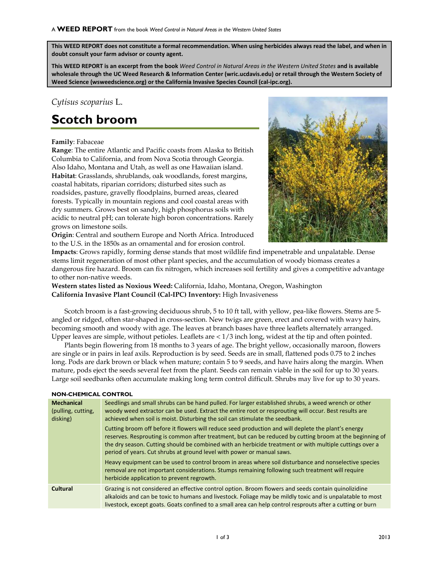**This WEED REPORT does not constitute a formal recommendation. When using herbicides always read the label, and when in doubt consult your farm advisor or county agent.**

**This WEED REPORT is an excerpt from the book** *Weed Control in Natural Areas in the Western United States* **and is available wholesale through the UC Weed Research & Information Center (wric.ucdavis.edu) or retail through the Western Society of Weed Science (wsweedscience.org) or the California Invasive Species Council (cal-ipc.org).**

## *Cytisus scoparius* L.

# **Scotch broom**

#### **Family**: Fabaceae

**Range**: The entire Atlantic and Pacific coasts from Alaska to British Columbia to California, and from Nova Scotia through Georgia. Also Idaho, Montana and Utah, as well as one Hawaiian island. **Habitat**: Grasslands, shrublands, oak woodlands, forest margins, coastal habitats, riparian corridors; disturbed sites such as roadsides, pasture, gravelly floodplains, burned areas, cleared forests. Typically in mountain regions and cool coastal areas with dry summers. Grows best on sandy, high phosphorus soils with acidic to neutral pH; can tolerate high boron concentrations. Rarely grows on limestone soils.



**Origin**: Central and southern Europe and North Africa. Introduced to the U.S. in the 1850s as an ornamental and for erosion control.

**Impacts**: Grows rapidly, forming dense stands that most wildlife find impenetrable and unpalatable. Dense stems limit regeneration of most other plant species, and the accumulation of woody biomass creates a dangerous fire hazard. Broom can fix nitrogen, which increases soil fertility and gives a competitive advantage to other non-native weeds.

**Western states listed as Noxious Weed:** California, Idaho, Montana, Oregon, Washington **California Invasive Plant Council (Cal-IPC) Inventory:** High Invasiveness

Scotch broom is a fast-growing deciduous shrub, 5 to 10 ft tall, with yellow, pea-like flowers. Stems are 5 angled or ridged, often star-shaped in cross-section. New twigs are green, erect and covered with wavy hairs, becoming smooth and woody with age. The leaves at branch bases have three leaflets alternately arranged. Upper leaves are simple, without petioles. Leaflets are < 1/3 inch long, widest at the tip and often pointed.

Plants begin flowering from 18 months to 3 years of age. The bright yellow, occasionally maroon, flowers are single or in pairs in leaf axils. Reproduction is by seed. Seeds are in small, flattened pods 0.75 to 2 inches long. Pods are dark brown or black when mature; contain 5 to 9 seeds, and have hairs along the margin. When mature, pods eject the seeds several feet from the plant. Seeds can remain viable in the soil for up to 30 years. Large soil seedbanks often accumulate making long term control difficult. Shrubs may live for up to 30 years.

#### **NON-CHEMICAL CONTROL**

| <b>Mechanical</b><br>(pulling, cutting,<br>disking) | Seedlings and small shrubs can be hand pulled. For larger established shrubs, a weed wrench or other<br>woody weed extractor can be used. Extract the entire root or resprouting will occur. Best results are<br>achieved when soil is moist. Disturbing the soil can stimulate the seedbank.<br>Cutting broom off before it flowers will reduce seed production and will deplete the plant's energy<br>reserves. Resprouting is common after treatment, but can be reduced by cutting broom at the beginning of<br>the dry season. Cutting should be combined with an herbicide treatment or with multiple cuttings over a<br>period of years. Cut shrubs at ground level with power or manual saws.<br>Heavy equipment can be used to control broom in areas where soil disturbance and nonselective species<br>removal are not important considerations. Stumps remaining following such treatment will require<br>herbicide application to prevent regrowth. |
|-----------------------------------------------------|------------------------------------------------------------------------------------------------------------------------------------------------------------------------------------------------------------------------------------------------------------------------------------------------------------------------------------------------------------------------------------------------------------------------------------------------------------------------------------------------------------------------------------------------------------------------------------------------------------------------------------------------------------------------------------------------------------------------------------------------------------------------------------------------------------------------------------------------------------------------------------------------------------------------------------------------------------------|
| Cultural                                            | Grazing is not considered an effective control option. Broom flowers and seeds contain quinolizidine<br>alkaloids and can be toxic to humans and livestock. Foliage may be mildly toxic and is unpalatable to most<br>livestock, except goats. Goats confined to a small area can help control resprouts after a cutting or burn                                                                                                                                                                                                                                                                                                                                                                                                                                                                                                                                                                                                                                 |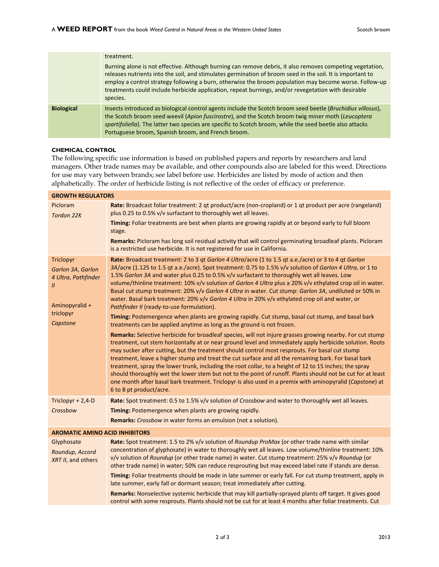|                   | treatment.<br>Burning alone is not effective. Although burning can remove debris, it also removes competing vegetation,<br>releases nutrients into the soil, and stimulates germination of broom seed in the soil. It is important to<br>employ a control strategy following a burn, otherwise the broom population may become worse. Follow-up<br>treatments could include herbicide application, repeat burnings, and/or revegetation with desirable<br>species. |
|-------------------|--------------------------------------------------------------------------------------------------------------------------------------------------------------------------------------------------------------------------------------------------------------------------------------------------------------------------------------------------------------------------------------------------------------------------------------------------------------------|
| <b>Biological</b> | Insects introduced as biological control agents include the Scotch broom seed beetle (Bruchidius villosus),<br>the Scotch broom seed weevil (Apion fuscirostre), and the Scotch broom twig miner moth (Leucoptera<br>spartifoliella). The latter two species are specific to Scotch broom, while the seed beetle also attacks<br>Portuguese broom, Spanish broom, and French broom.                                                                                |

### **CHEMICAL CONTROL**

The following specific use information is based on published papers and reports by researchers and land managers. Other trade names may be available, and other compounds also are labeled for this weed. Directions for use may vary between brands; see label before use. Herbicides are listed by mode of action and then alphabetically. The order of herbicide listing is not reflective of the order of efficacy or preference.

| <b>GROWTH REGULATORS</b>                                                                                          |                                                                                                                                                                                                                                                                                                                                                                                                                                                                                                                                                                                                                                                                                                                                                                                                                                                                                                                                                                                                                                                                                                                                                                                                                                                                                                                                                                                                                                                                                                                                                                                                                                                                         |  |
|-------------------------------------------------------------------------------------------------------------------|-------------------------------------------------------------------------------------------------------------------------------------------------------------------------------------------------------------------------------------------------------------------------------------------------------------------------------------------------------------------------------------------------------------------------------------------------------------------------------------------------------------------------------------------------------------------------------------------------------------------------------------------------------------------------------------------------------------------------------------------------------------------------------------------------------------------------------------------------------------------------------------------------------------------------------------------------------------------------------------------------------------------------------------------------------------------------------------------------------------------------------------------------------------------------------------------------------------------------------------------------------------------------------------------------------------------------------------------------------------------------------------------------------------------------------------------------------------------------------------------------------------------------------------------------------------------------------------------------------------------------------------------------------------------------|--|
| Picloram<br>Tordon 22K                                                                                            | Rate: Broadcast foliar treatment: 2 qt product/acre (non-cropland) or 1 qt product per acre (rangeland)<br>plus 0.25 to 0.5% v/v surfactant to thoroughly wet all leaves.                                                                                                                                                                                                                                                                                                                                                                                                                                                                                                                                                                                                                                                                                                                                                                                                                                                                                                                                                                                                                                                                                                                                                                                                                                                                                                                                                                                                                                                                                               |  |
|                                                                                                                   | Timing: Foliar treatments are best when plants are growing rapidly at or beyond early to full bloom<br>stage.                                                                                                                                                                                                                                                                                                                                                                                                                                                                                                                                                                                                                                                                                                                                                                                                                                                                                                                                                                                                                                                                                                                                                                                                                                                                                                                                                                                                                                                                                                                                                           |  |
|                                                                                                                   | Remarks: Picloram has long soil residual activity that will control germinating broadleaf plants. Picloram<br>is a restricted use herbicide. It is not registered for use in California.                                                                                                                                                                                                                                                                                                                                                                                                                                                                                                                                                                                                                                                                                                                                                                                                                                                                                                                                                                                                                                                                                                                                                                                                                                                                                                                                                                                                                                                                                |  |
| Triclopyr<br>Garlon 3A, Garlon<br>4 Ultra, Pathfinder<br>$\mathcal{U}$<br>Aminopyralid +<br>triclopyr<br>Capstone | Rate: Broadcast treatment: 2 to 3 qt Garlon 4 Ultra/acre (1 to 1.5 qt a.e./acre) or 3 to 4 qt Garlon<br>3A/acre (1.125 to 1.5 qt a.e./acre). Spot treatment: 0.75 to 1.5% v/v solution of Garlon 4 Ultra, or 1 to<br>1.5% Garlon 3A and water plus 0.25 to 0.5% v/v surfactant to thoroughly wet all leaves. Low<br>volume/thinline treatment: 10% v/v solution of Garlon 4 Ultra plus a 20% v/v ethylated crop oil in water.<br>Basal cut stump treatment: 20% v/v Garlon 4 Ultra in water. Cut stump: Garlon 3A, undiluted or 50% in<br>water. Basal bark treatment: 20% v/v Garlon 4 Ultra in 20% v/v ethylated crop oil and water, or<br>Pathfinder II (ready-to-use formulation).<br>Timing: Postemergence when plants are growing rapidly. Cut stump, basal cut stump, and basal bark<br>treatments can be applied anytime as long as the ground is not frozen.<br>Remarks: Selective herbicide for broadleaf species, will not injure grasses growing nearby. For cut stump<br>treatment, cut stem horizontally at or near ground level and immediately apply herbicide solution. Roots<br>may sucker after cutting, but the treatment should control most resprouts. For basal cut stump<br>treatment, leave a higher stump and treat the cut surface and all the remaining bark. For basal bark<br>treatment, spray the lower trunk, including the root collar, to a height of 12 to 15 inches; the spray<br>should thoroughly wet the lower stem but not to the point of runoff. Plants should not be cut for at least<br>one month after basal bark treatment. Triclopyr is also used in a premix with aminopyralid (Capstone) at<br>6 to 8 pt product/acre. |  |
| Triclopyr + 2,4-D                                                                                                 | Rate: Spot treatment: 0.5 to 1.5% v/v solution of Crossbow and water to thoroughly wet all leaves.                                                                                                                                                                                                                                                                                                                                                                                                                                                                                                                                                                                                                                                                                                                                                                                                                                                                                                                                                                                                                                                                                                                                                                                                                                                                                                                                                                                                                                                                                                                                                                      |  |
| Crossbow                                                                                                          | Timing: Postemergence when plants are growing rapidly.                                                                                                                                                                                                                                                                                                                                                                                                                                                                                                                                                                                                                                                                                                                                                                                                                                                                                                                                                                                                                                                                                                                                                                                                                                                                                                                                                                                                                                                                                                                                                                                                                  |  |
|                                                                                                                   | Remarks: Crossbow in water forms an emulsion (not a solution).                                                                                                                                                                                                                                                                                                                                                                                                                                                                                                                                                                                                                                                                                                                                                                                                                                                                                                                                                                                                                                                                                                                                                                                                                                                                                                                                                                                                                                                                                                                                                                                                          |  |
| <b>AROMATIC AMINO ACID INHIBITORS</b>                                                                             |                                                                                                                                                                                                                                                                                                                                                                                                                                                                                                                                                                                                                                                                                                                                                                                                                                                                                                                                                                                                                                                                                                                                                                                                                                                                                                                                                                                                                                                                                                                                                                                                                                                                         |  |
| Glyphosate<br>Roundup, Accord<br>XRT II, and others                                                               | Rate: Spot treatment: 1.5 to 2% v/v solution of Roundup ProMax (or other trade name with similar<br>concentration of glyphosate) in water to thoroughly wet all leaves. Low volume/thinline treatment: 10%<br>v/v solution of Roundup (or other trade name) in water. Cut stump treatment: 25% v/v Roundup (or<br>other trade name) in water; 50% can reduce resprouting but may exceed label rate if stands are dense.<br>Timing: Foliar treatments should be made in late summer or early fall. For cut stump treatment, apply in<br>late summer, early fall or dormant season; treat immediately after cutting.<br>Remarks: Nonselective systemic herbicide that may kill partially-sprayed plants off target. It gives good                                                                                                                                                                                                                                                                                                                                                                                                                                                                                                                                                                                                                                                                                                                                                                                                                                                                                                                                         |  |
|                                                                                                                   | control with some resprouts. Plants should not be cut for at least 4 months after foliar treatments. Cut                                                                                                                                                                                                                                                                                                                                                                                                                                                                                                                                                                                                                                                                                                                                                                                                                                                                                                                                                                                                                                                                                                                                                                                                                                                                                                                                                                                                                                                                                                                                                                |  |